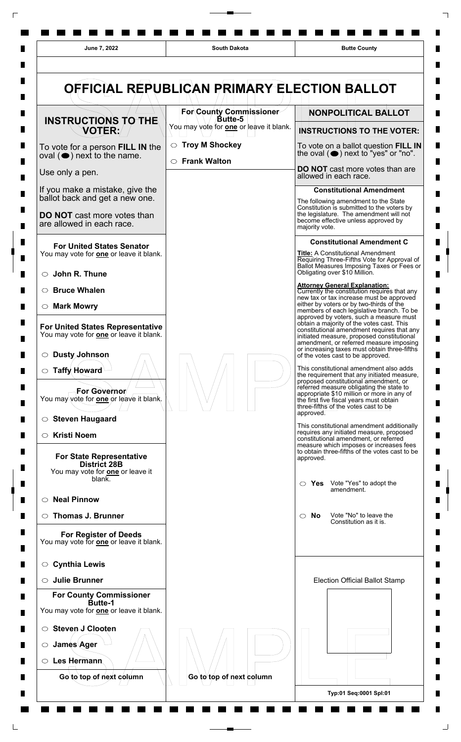

L